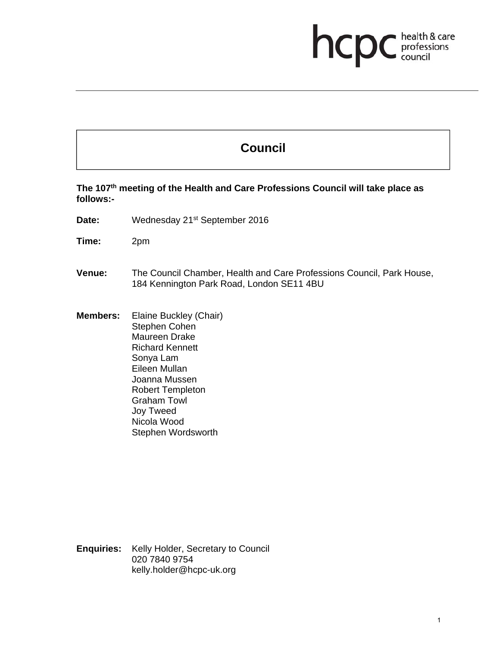## health & care<br>professions<br>council hcp

## **Council**

**The 107th meeting of the Health and Care Professions Council will take place as follows:-** 

- Date: Wednesday 21<sup>st</sup> September 2016
- **Time:** 2pm
- **Venue:** The Council Chamber, Health and Care Professions Council, Park House, 184 Kennington Park Road, London SE11 4BU
- **Members:** Elaine Buckley (Chair) Stephen Cohen Maureen Drake Richard Kennett Sonya Lam Eileen Mullan Joanna Mussen Robert Templeton Graham Towl Joy Tweed Nicola Wood Stephen Wordsworth

**Enquiries:** Kelly Holder, Secretary to Council 020 7840 9754 kelly.holder@hcpc-uk.org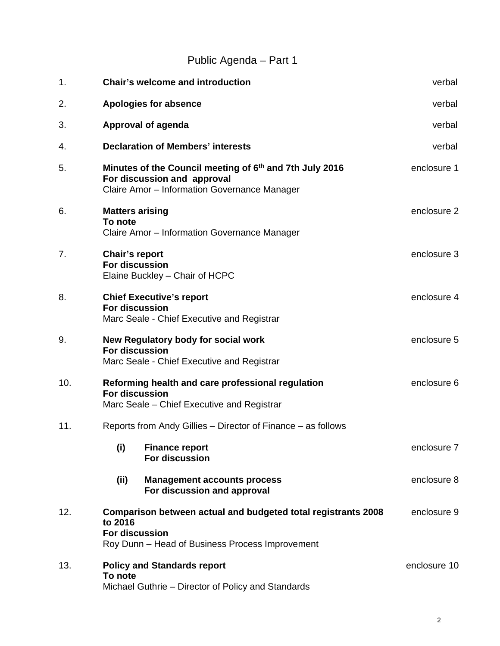## Public Agenda – Part 1

| 1.  | <b>Chair's welcome and introduction</b>                                                                                                              | verbal       |
|-----|------------------------------------------------------------------------------------------------------------------------------------------------------|--------------|
| 2.  | <b>Apologies for absence</b>                                                                                                                         | verbal       |
| 3.  | Approval of agenda                                                                                                                                   | verbal       |
| 4.  | <b>Declaration of Members' interests</b>                                                                                                             | verbal       |
| 5.  | Minutes of the Council meeting of 6 <sup>th</sup> and 7th July 2016<br>For discussion and approval<br>Claire Amor - Information Governance Manager   | enclosure 1  |
| 6.  | <b>Matters arising</b><br>To note<br>Claire Amor - Information Governance Manager                                                                    | enclosure 2  |
| 7.  | <b>Chair's report</b><br><b>For discussion</b><br>Elaine Buckley - Chair of HCPC                                                                     | enclosure 3  |
| 8.  | <b>Chief Executive's report</b><br><b>For discussion</b><br>Marc Seale - Chief Executive and Registrar                                               | enclosure 4  |
| 9.  | New Regulatory body for social work<br><b>For discussion</b><br>Marc Seale - Chief Executive and Registrar                                           | enclosure 5  |
| 10. | Reforming health and care professional regulation<br><b>For discussion</b><br>Marc Seale - Chief Executive and Registrar                             | enclosure 6  |
| 11. | Reports from Andy Gillies - Director of Finance - as follows                                                                                         |              |
|     | (i)<br><b>Finance report</b><br>For discussion                                                                                                       | enclosure 7  |
|     | (ii)<br><b>Management accounts process</b><br>For discussion and approval                                                                            | enclosure 8  |
| 12. | Comparison between actual and budgeted total registrants 2008<br>to 2016<br><b>For discussion</b><br>Roy Dunn - Head of Business Process Improvement | enclosure 9  |
| 13. | <b>Policy and Standards report</b><br>To note<br>Michael Guthrie - Director of Policy and Standards                                                  | enclosure 10 |